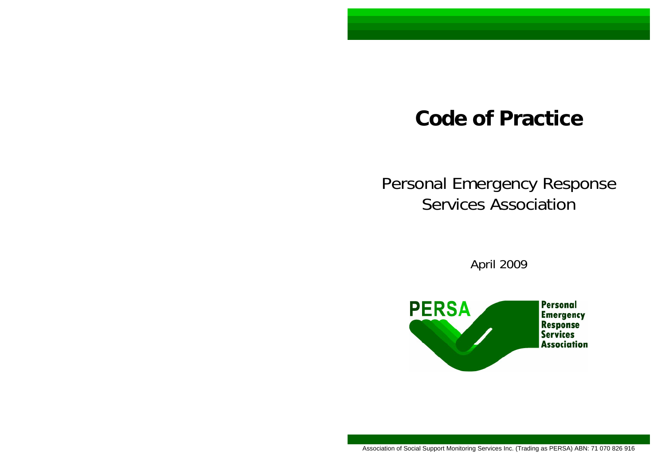# **Code of Practice**

# Personal Emergency Response Services Association

April 2009

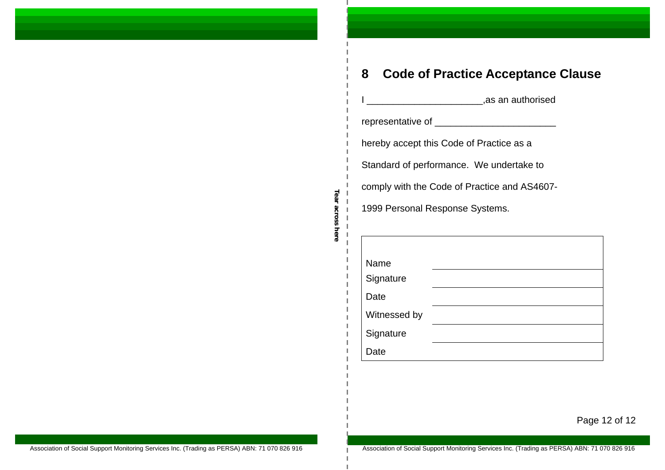| representative of __________________________ |  |  |  |  |  |
|----------------------------------------------|--|--|--|--|--|
| hereby accept this Code of Practice as a     |  |  |  |  |  |
| Standard of performance. We undertake to     |  |  |  |  |  |
| comply with the Code of Practice and AS4607- |  |  |  |  |  |
| 1999 Personal Response Systems.              |  |  |  |  |  |
|                                              |  |  |  |  |  |
|                                              |  |  |  |  |  |
| Name                                         |  |  |  |  |  |
| Signature                                    |  |  |  |  |  |
| Date                                         |  |  |  |  |  |
| Witnessed by                                 |  |  |  |  |  |
| Signature                                    |  |  |  |  |  |
| Date                                         |  |  |  |  |  |

 $-$ **Tear across here** 

J.

Page 12 of 12

Association of Social Support Monitoring Services Inc. (Trading as PERSA) ABN: 71 070 826 916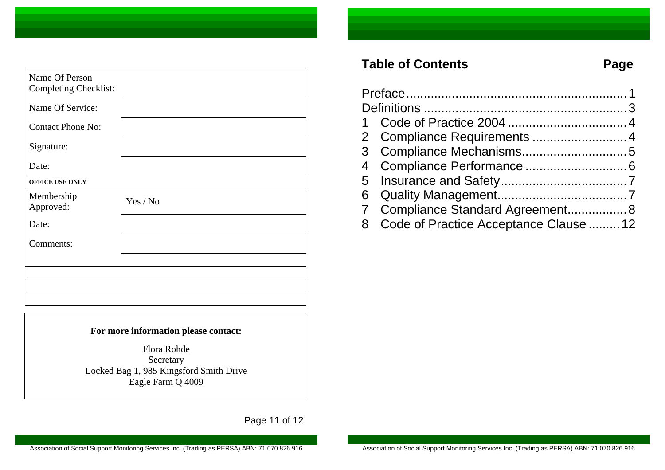| Name Of Person<br><b>Completing Checklist:</b> |          |
|------------------------------------------------|----------|
| Name Of Service:                               |          |
| <b>Contact Phone No:</b>                       |          |
| Signature:                                     |          |
| Date:                                          |          |
| OFFICE USE ONLY                                |          |
| Membership<br>Approved:                        | Yes / No |
| Date:                                          |          |
| Comments:                                      |          |
|                                                |          |
|                                                |          |
|                                                |          |
|                                                |          |

#### **For more information please contact:**

Flora Rohde Secretary Locked Bag 1, 985 Kingsford Smith Drive Eagle Farm Q 4009

Page 11 of 12

## Table of Contents **Page**

| 2 Compliance Requirements  4             |  |
|------------------------------------------|--|
|                                          |  |
|                                          |  |
|                                          |  |
|                                          |  |
| 7 Compliance Standard Agreement 8        |  |
| 8 Code of Practice Acceptance Clause  12 |  |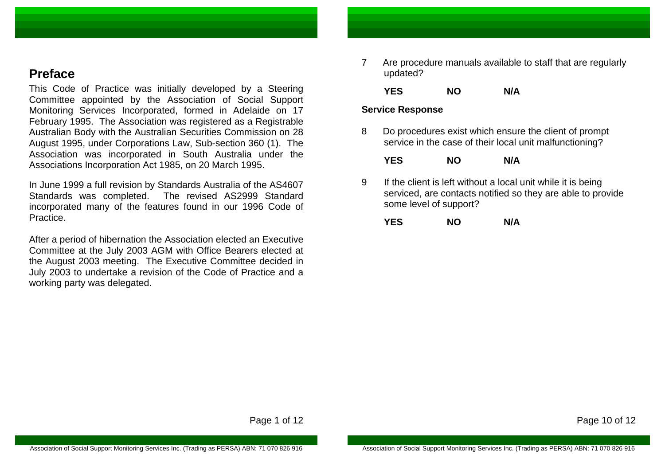## **Preface**

This Code of Practice was initially developed by a Steering Committee appointed by the Association of Social Support Monitoring Services Incorporated, formed in Adelaide on 17 February 1995. The Association was registered as a Registrable Australian Body with the Australian Securities Commission on 28 August 1995, under Corporations Law, Sub-section 360 (1). The Association was incorporated in South Australia under the Associations Incorporation Act 1985, on 20 March 1995.

In June 1999 a full revision by Standards Australia of the AS4607 Standards was completed. The revised AS2999 Standard incorporated many of the features found in our 1996 Code of Practice.

After a period of hibernation the Association elected an Executive Committee at the July 2003 AGM with Office Bearers elected at the August 2003 meeting. The Executive Committee decided in July 2003 to undertake a revision of the Code of Practice and a working party was delegated.

7 Are procedure manuals available to staff that are regularly updated?

**YES NO N/A** 

#### **Service Response**

8 Do procedures exist which ensure the client of prompt service in the case of their local unit malfunctioning?

| <b>YES</b> | <b>NO</b> | N/A |
|------------|-----------|-----|
|            |           |     |

9 If the client is left without a local unit while it is being serviced, are contacts notified so they are able to provide some level of support?

| <b>YES</b> | <b>NO</b> | N/A |
|------------|-----------|-----|
|------------|-----------|-----|

Page 1 of 12

Page 10 of 12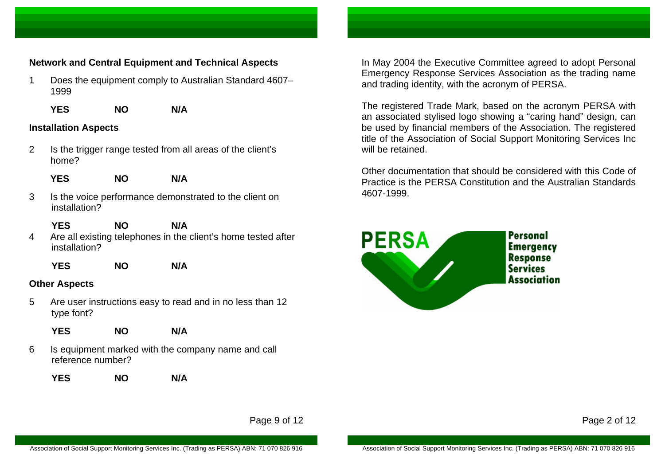#### **Network and Central Equipment and Technical Aspects**

- 1 Does the equipment comply to Australian Standard 4607– 1999
	- **YES NO N/A**

#### **Installation Aspects**

- 2 Is the trigger range tested from all areas of the client's home?
	- **YES NO N/A**
- 3 Is the voice performance demonstrated to the client on installation?
	- **YES NO N/A**
- 4 Are all existing telephones in the client's home tested after installation?
	- **YES NO N/A**

#### **Other Aspects**

- 5 Are user instructions easy to read and in no less than 12 type font?
	- **YES NO N/A**
- 6 Is equipment marked with the company name and call reference number?
	- **YES NO N/A**

In May 2004 the Executive Committee agreed to adopt Personal Emergency Response Services Association as the trading name and trading identity, with the acronym of PERSA.

The registered Trade Mark, based on the acronym PERSA with an associated stylised logo showing a "caring hand" design, can be used by financial members of the Association. The registered title of the Association of Social Support Monitoring Services Inc will be retained.

Other documentation that should be considered with this Code of Practice is the PERSA Constitution and the Australian Standards 4607-1999.



Page 9 of 12

Page 2 of 12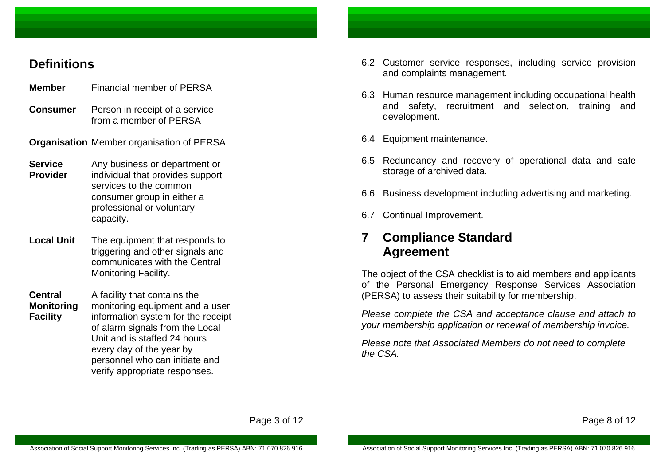## **Definitions**

- **Member** Financial member of PERSA
- **Consumer** Person in receipt of a service from a member of PERSA
- **Organisation** Member organisation of PERSA
- **Service Provider**  Any business or department or individual that provides support services to the common consumer group in either a professional or voluntary capacity.
- **Local Unit**  The equipment that responds to triggering and other signals and communicates with the Central Monitoring Facility.
- **Central Monitoring Facility**  A facility that contains the monitoring equipment and a user information system for the receipt of alarm signals from the Local Unit and is staffed 24 hours every day of the year by personnel who can initiate and verify appropriate responses.
- 6.2 Customer service responses, including service provision and complaints management.
- 6.3 Human resource management including occupational health and safety, recruitment and selection, training and development.
- 6.4 Equipment maintenance.
- 6.5 Redundancy and recovery of operational data and safe storage of archived data.
- 6.6 Business development including advertising and marketing.
- 6.7 Continual Improvement.

## **7 Compliance Standard Agreement**

The object of the CSA checklist is to aid members and applicants of the Personal Emergency Response Services Association (PERSA) to assess their suitability for membership.

*Please complete the CSA and acceptance clause and attach to your membership application or renewal of membership invoice.* 

*Please note that Associated Members do not need to complete the CSA.* 

Page 3 of 12

Page 8 of 12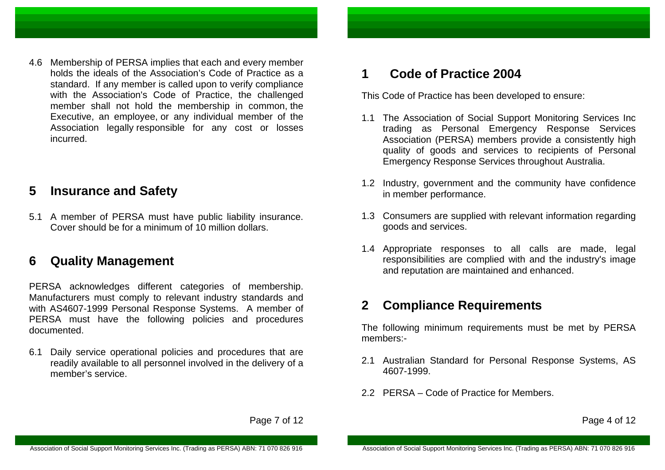4.6 Membership of PERSA implies that each and every member holds the ideals of the Association's Code of Practice as a standard. If any member is called upon to verify compliance with the Association's Code of Practice, the challenged member shall not hold the membership in common, the Executive, an employee, or any individual member of the Association legally responsible for any cost or losses incurred.

#### **5 Insurance and Safety**

5.1 A member of PERSA must have public liability insurance. Cover should be for a minimum of 10 million dollars.

## **6 Quality Management**

PERSA acknowledges different categories of membership. Manufacturers must comply to relevant industry standards and with AS4607-1999 Personal Response Systems. A member of PERSA must have the following policies and procedures documented.

6.1 Daily service operational policies and procedures that are readily available to all personnel involved in the delivery of a member's service.

## **1 Code of Practice 2004**

This Code of Practice has been developed to ensure:

- 1.1 The Association of Social Support Monitoring Services Inc trading as Personal Emergency Response Services Association (PERSA) members provide a consistently high quality of goods and services to recipients of Personal Emergency Response Services throughout Australia.
- 1.2 Industry, government and the community have confidence in member performance.
- 1.3 Consumers are supplied with relevant information regarding goods and services.
- 1.4 Appropriate responses to all calls are made, legal responsibilities are complied with and the industry's image and reputation are maintained and enhanced.

## **2 Compliance Requirements**

The following minimum requirements must be met by PERSA members:-

- 2.1 Australian Standard for Personal Response Systems, AS 4607-1999.
- 2.2 PERSA Code of Practice for Members.

Page 4 of 12

Page 7 of 12